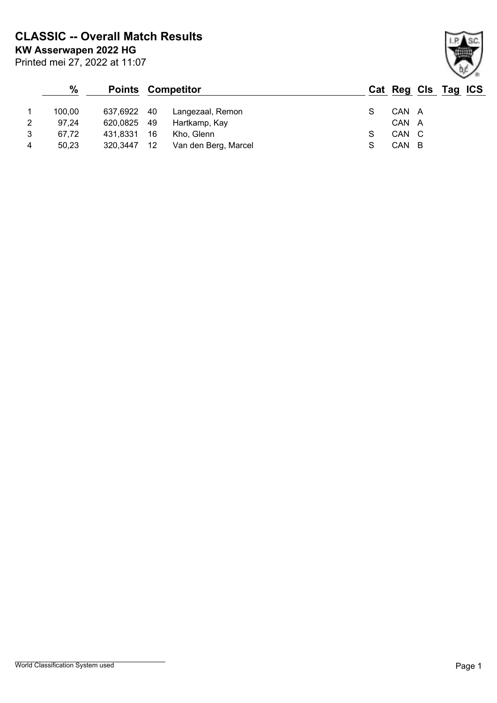**KW Asserwapen 2022 HG CLASSIC -- Overall Match Results**

| Printed mei 27, 2022 at 11:07 |  |
|-------------------------------|--|
|-------------------------------|--|

|   | $\%$   |             |    | <b>Points Competitor</b> |       | Cat Reg Cls Tag ICS |  |
|---|--------|-------------|----|--------------------------|-------|---------------------|--|
|   | 100.00 | 637,6922 40 |    | Langezaal, Remon         | CAN A |                     |  |
| 2 | 97,24  | 620,0825 49 |    | Hartkamp, Kay            | CAN A |                     |  |
| 3 | 67,72  | 431,8331    | 16 | Kho, Glenn               | CAN C |                     |  |
| 4 | 50,23  | 320,3447    | 12 | Van den Berg, Marcel     | CAN B |                     |  |

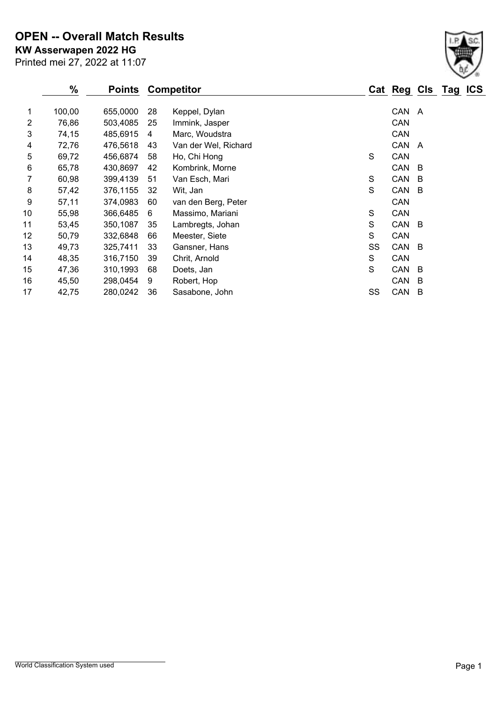Printed mei 27, 2022 at 11:07 **KW Asserwapen 2022 HG OPEN -- Overall Match Results**

|                | $\%$   | <b>Points</b> |    | <b>Competitor</b>    |    | Cat Reg Cls Tag ICS |                |  |
|----------------|--------|---------------|----|----------------------|----|---------------------|----------------|--|
| 1              | 100,00 | 655,0000      | 28 | Keppel, Dylan        |    | CAN A               |                |  |
| $\overline{2}$ | 76,86  | 503,4085      | 25 | Immink, Jasper       |    | CAN                 |                |  |
| 3              | 74,15  | 485,6915      | 4  | Marc, Woudstra       |    | CAN                 |                |  |
| 4              | 72,76  | 476,5618      | 43 | Van der Wel, Richard |    | CAN                 | A              |  |
| 5              | 69,72  | 456,6874      | 58 | Ho, Chi Hong         | S  | CAN                 |                |  |
| 6              | 65,78  | 430,8697      | 42 | Kombrink, Morne      |    | CAN                 | $\overline{B}$ |  |
| 7              | 60,98  | 399,4139      | 51 | Van Esch, Mari       | S  | CAN                 | B              |  |
| 8              | 57,42  | 376,1155      | 32 | Wit, Jan             | S  | CAN                 | B              |  |
| 9              | 57,11  | 374,0983      | 60 | van den Berg, Peter  |    | CAN                 |                |  |
| 10             | 55,98  | 366,6485      | 6  | Massimo, Mariani     | S  | CAN                 |                |  |
| 11             | 53,45  | 350,1087      | 35 | Lambregts, Johan     | S  | CAN                 | - B            |  |
| 12             | 50,79  | 332,6848      | 66 | Meester, Siete       | S  | CAN                 |                |  |
| 13             | 49,73  | 325,7411      | 33 | Gansner, Hans        | SS | CAN                 | - B            |  |
| 14             | 48,35  | 316,7150      | 39 | Chrit, Arnold        | S  | CAN                 |                |  |
| 15             | 47,36  | 310,1993      | 68 | Doets, Jan           | S  | CAN                 | B              |  |
| 16             | 45,50  | 298,0454      | 9  | Robert, Hop          |    | CAN                 | B              |  |
| 17             | 42,75  | 280,0242      | 36 | Sasabone, John       | SS | CAN                 | B              |  |

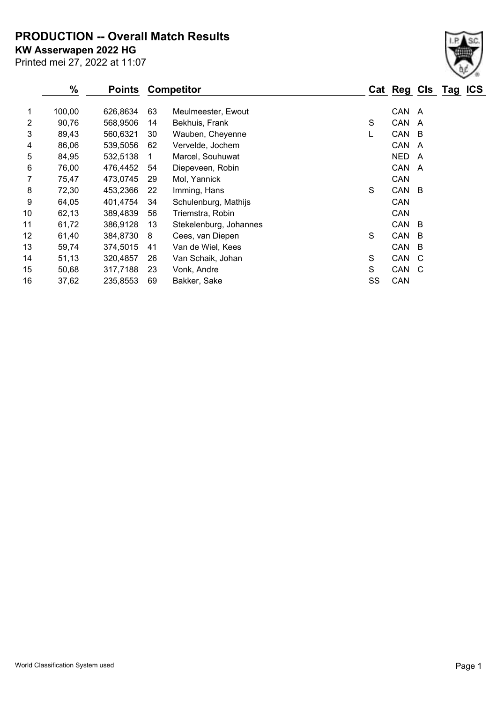**PRODUCTION -- Overall Match Results**

**KW Asserwapen 2022 HG**

|    | $\%$   | Points   |    | <b>Competitor</b>      |    |            |     | Cat Reg Cls Tag | <b>ICS</b> |
|----|--------|----------|----|------------------------|----|------------|-----|-----------------|------------|
| 1  | 100,00 | 626,8634 | 63 | Meulmeester, Ewout     |    | CAN        | A   |                 |            |
| 2  | 90,76  | 568,9506 | 14 | Bekhuis, Frank         | S  | CAN        | A   |                 |            |
| 3  | 89,43  | 560,6321 | 30 | Wauben, Cheyenne       | L  | CAN        | -B  |                 |            |
| 4  | 86,06  | 539,5056 | 62 | Vervelde, Jochem       |    | CAN        | A   |                 |            |
| 5  | 84,95  | 532,5138 |    | Marcel, Souhuwat       |    | <b>NED</b> | A   |                 |            |
| 6  | 76,00  | 476,4452 | 54 | Diepeveen, Robin       |    | CAN        | A   |                 |            |
| 7  | 75,47  | 473,0745 | 29 | Mol, Yannick           |    | CAN        |     |                 |            |
| 8  | 72,30  | 453,2366 | 22 | Imming, Hans           | S  | CAN        | - B |                 |            |
| 9  | 64,05  | 401,4754 | 34 | Schulenburg, Mathijs   |    | CAN        |     |                 |            |
| 10 | 62,13  | 389,4839 | 56 | Triemstra, Robin       |    | CAN        |     |                 |            |
| 11 | 61,72  | 386,9128 | 13 | Stekelenburg, Johannes |    | CAN        | - B |                 |            |
| 12 | 61,40  | 384,8730 | 8  | Cees, van Diepen       | S  | CAN        | B   |                 |            |
| 13 | 59,74  | 374,5015 | 41 | Van de Wiel, Kees      |    | CAN        | B   |                 |            |
| 14 | 51,13  | 320,4857 | 26 | Van Schaik, Johan      | S  | CAN        | C   |                 |            |
| 15 | 50,68  | 317,7188 | 23 | Vonk, Andre            | S  | CAN        | C   |                 |            |
| 16 | 37,62  | 235,8553 | 69 | Bakker, Sake           | SS | CAN        |     |                 |            |

Printed mei 27, 2022 at 11:07

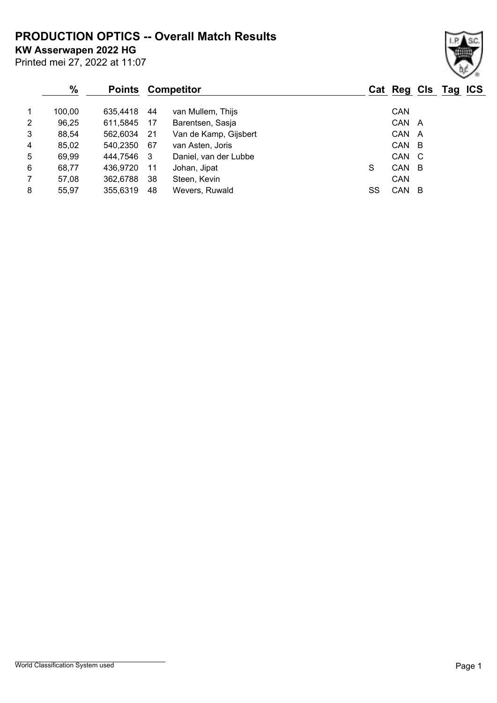**PRODUCTION OPTICS -- Overall Match Results**

**KW Asserwapen 2022 HG**

Printed mei 27, 2022 at 11:07

#### **% Points Competitor Cat Reg Cls Tag ICS** 1 100,00 635,4418 44 van Mullem, Thijs CAN 2 96,25 611,5845 17 Barentsen, Sasja CAN A 3 88,54 562,6034 21 Van de Kamp, Gijsbert CAN A 4 85,02 540,2350 67 van Asten, Joris CAN B 5 69,99 444,7546 3 Daniel, van der Lubbe CAN C 6 68,77 436,9720 11 Johan, Jipat S CAN B 7 57,08 362,6788 38 Steen, Kevin CAN

8 55,97 355,6319 48 Wevers, Ruwald SS CAN B

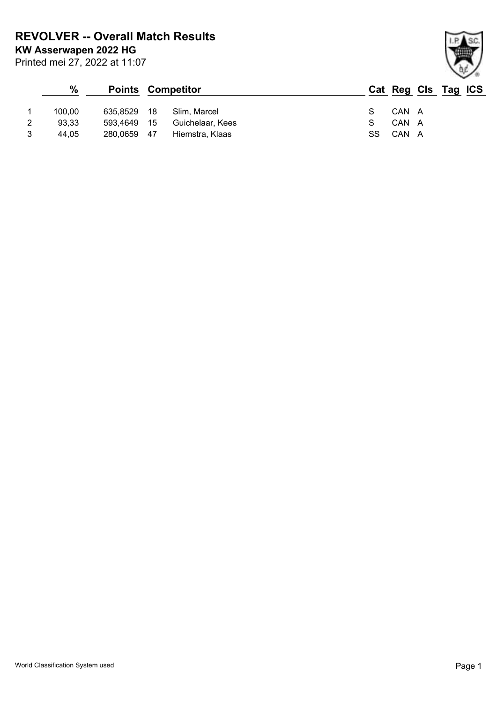**KW Asserwapen 2022 HG REVOLVER -- Overall Match Results**

Printed mei 27, 2022 at 11:07

### **% Points Competitor Cat Reg Cls Tag ICS** 1 100,00 635,8529 18 Slim, Marcel 3 3 CAN A 2 93,33 593,4649 15 Guichelaar, Kees S CAN A 3 44,05 280,0659 47 Hiemstra, Klaas SS CAN A

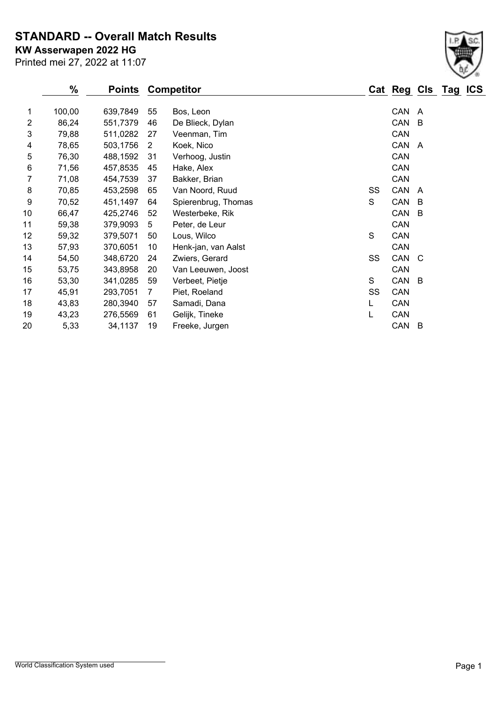**STANDARD -- Overall Match Results**

Printed mei 27, 2022 at 11:07 **KW Asserwapen 2022 HG**

|    | $\frac{0}{0}$ | Points   |                | <b>Competitor</b>   |    | Cat Reg Cls Tag ICS |                |  |
|----|---------------|----------|----------------|---------------------|----|---------------------|----------------|--|
| 1  | 100,00        | 639,7849 | 55             | Bos, Leon           |    | CAN                 | A              |  |
| 2  | 86,24         | 551,7379 | 46             | De Blieck, Dylan    |    | CAN                 | B              |  |
| 3  | 79,88         | 511,0282 | 27             | Veenman, Tim        |    | CAN                 |                |  |
| 4  | 78,65         | 503,1756 | $\overline{2}$ | Koek, Nico          |    | CAN                 | A              |  |
| 5  | 76,30         | 488,1592 | 31             | Verhoog, Justin     |    | CAN                 |                |  |
| 6  | 71,56         | 457,8535 | 45             | Hake, Alex          |    | CAN                 |                |  |
| 7  | 71,08         | 454,7539 | 37             | Bakker, Brian       |    | CAN                 |                |  |
| 8  | 70,85         | 453,2598 | 65             | Van Noord, Ruud     | SS | CAN                 | A              |  |
| 9  | 70,52         | 451,1497 | 64             | Spierenbrug, Thomas | S  | CAN                 | В              |  |
| 10 | 66,47         | 425,2746 | 52             | Westerbeke, Rik     |    | CAN                 | B              |  |
| 11 | 59,38         | 379,9093 | 5              | Peter, de Leur      |    | CAN                 |                |  |
| 12 | 59,32         | 379,5071 | 50             | Lous, Wilco         | S  | CAN                 |                |  |
| 13 | 57,93         | 370,6051 | 10             | Henk-jan, van Aalst |    | CAN                 |                |  |
| 14 | 54,50         | 348,6720 | 24             | Zwiers, Gerard      | SS | CAN C               |                |  |
| 15 | 53,75         | 343,8958 | 20             | Van Leeuwen, Joost  |    | CAN                 |                |  |
| 16 | 53,30         | 341,0285 | 59             | Verbeet, Pietje     | S  | CAN                 | $\overline{B}$ |  |
| 17 | 45,91         | 293,7051 | $\overline{7}$ | Piet, Roeland       | SS | CAN                 |                |  |
| 18 | 43,83         | 280,3940 | 57             | Samadi, Dana        | L  | CAN                 |                |  |
| 19 | 43,23         | 276,5569 | 61             | Gelijk, Tineke      | L  | CAN                 |                |  |
| 20 | 5,33          | 34,1137  | 19             | Freeke, Jurgen      |    | CAN B               |                |  |
|    |               |          |                |                     |    |                     |                |  |